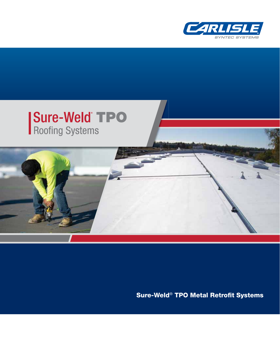



Sure-Weld<sup>®</sup> TPO Metal Retrofit Systems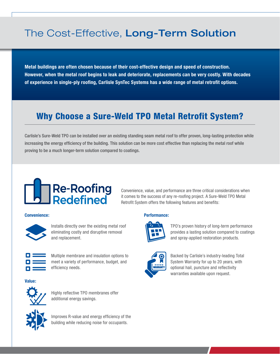# The Cost-Effective, Long-Term Solution

**Metal buildings are often chosen because of their cost-effective design and speed of construction. However, when the metal roof begins to leak and deteriorate, replacements can be very costly. With decades**  of experience in single-ply roofing, Carlisle SynTec Systems has a wide range of metal retrofit options.

## **Why Choose a Sure-Weld TPO Metal Retrofit System?**

Carlisle's Sure-Weld TPO can be installed over an existing standing seam metal roof to offer proven, long-lasting protection while increasing the energy efficiency of the building. This solution can be more cost effective than replacing the metal roof while proving to be a much longer-term solution compared to coatings.



#### Convenience, value, and performance are three critical considerations when it comes to the success of any re-roofing project. A Sure-Weld TPO Metal Retrofit System offers the following features and benefits:



Installs directly over the existing metal roof eliminating costly and disruptive removal and replacement.



Multiple membrane and insulation options to meet a variety of performance, budget, and efficiency needs.

**Value:**



Highly reflective TPO membranes offer additional energy savings.



Improves R-value and energy efficiency of the building while reducing noise for occupants.

#### **Convenience: Performance:**



TPO's proven history of long-term performance provides a lasting solution compared to coatings and spray-applied restoration products.



Backed by Carlisle's industry-leading Total System Warranty for up to 20 years, with optional hail, puncture and reflectivity warranties available upon request.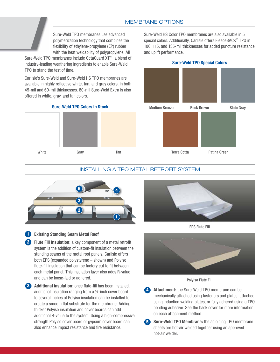#### MEMBRANE OPTIONS

Sure-Weld TPO membranes use advanced polymerization technology that combines the flexibility of ethylene-propylene (EP) rubber with the heat weldability of polypropylene. All

Sure-Weld TPO membranes include OctaGuard XT™, a blend of industry-leading weathering ingredients to enable Sure-Weld TPO to stand the test of time.

Carlisle's Sure-Weld and Sure-Weld HS TPO membranes are available in highly reflective white, tan, and gray colors, in both 45-mil and 60-mil thicknesses. 80-mil Sure-Weld Extra is also offered in white, gray, and tan colors.

Sure-Weld HS Color TPO membranes are also available in 5 special colors. Additionally, Carlisle offers FleeceBACK® TPO in 100, 115, and 135-mil thicknesses for added puncture resistance and uplift performance.

**Sure-Weld TPO Special Colors**



#### **Sure-Weld TPO Colors In Stock**



#### INSTALLING A TPO METAL RETROFIT SYSTEM

**5**



#### **Existing Standing Seam Metal Roof**

**1**

**2 Flute Fill Insulation:** a key component of a metal retrofit system is the addition of custom-fit insulation between the standing seams of the metal roof panels. Carlisle offers both EPS (expanded polystyrene – shown) and Polyiso flute-fill insulation that can be factory cut to fit between each metal panel. This insulation layer also adds R-value and can be loose-laid or adhered.

**Additional insulation:** once flute-fill has been installed, additional insulation ranging from a ¼-inch cover board to several inches of Polyiso insulation can be installed to create a smooth flat substrate for the membrane. Adding thicker Polyiso insulation and cover boards can add additional R-value to the system. Using a high-compressive strength Polyiso cover board or gypsum cover board can also enhance impact resistance and fire resistance.



EPS Flute Fill





- **4 Attachment:** the Sure-Weld TPO membrane can be mechanically attached using fasteners and plates, attached using induction welding plates, or fully adhered using a TPO bonding adhesive. See the back cover for more information on each attachment method.
	- **Sure-Weld TPO Membrane:** the adjoining TPO membrane sheets are hot-air welded together using an approved hot-air welder.